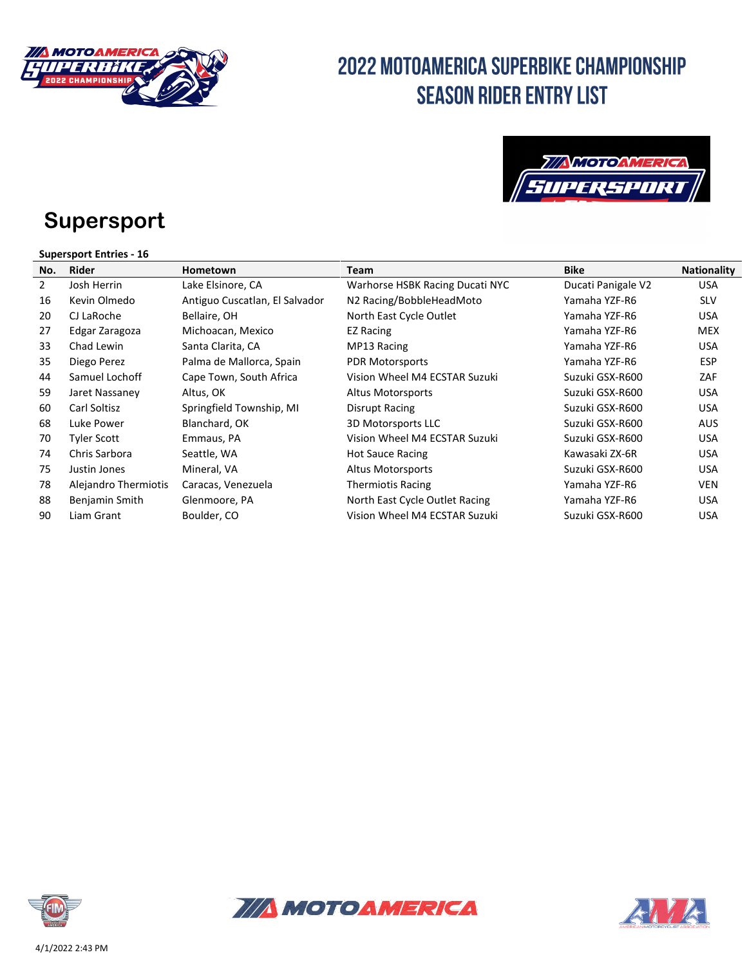

### **Supersport**

#### **Supersport Entries - 16**

| No.            | <b>Rider</b>         | Hometown                       | <b>Team</b>                     | <b>Bike</b>        | <b>Nationality</b> |
|----------------|----------------------|--------------------------------|---------------------------------|--------------------|--------------------|
| $\overline{2}$ | Josh Herrin          | Lake Elsinore, CA              | Warhorse HSBK Racing Ducati NYC | Ducati Panigale V2 | <b>USA</b>         |
| 16             | Kevin Olmedo         | Antiguo Cuscatlan, El Salvador | N2 Racing/BobbleHeadMoto        | Yamaha YZF-R6      | <b>SLV</b>         |
| 20             | CJ LaRoche           | Bellaire, OH                   | North East Cycle Outlet         | Yamaha YZF-R6      | <b>USA</b>         |
| 27             | Edgar Zaragoza       | Michoacan, Mexico              | <b>EZ Racing</b>                | Yamaha YZF-R6      | <b>MEX</b>         |
| 33             | Chad Lewin           | Santa Clarita, CA              | MP13 Racing                     | Yamaha YZF-R6      | <b>USA</b>         |
| 35             | Diego Perez          | Palma de Mallorca, Spain       | <b>PDR Motorsports</b>          | Yamaha YZF-R6      | <b>ESP</b>         |
| 44             | Samuel Lochoff       | Cape Town, South Africa        | Vision Wheel M4 ECSTAR Suzuki   | Suzuki GSX-R600    | ZAF                |
| 59             | Jaret Nassaney       | Altus, OK                      | Altus Motorsports               | Suzuki GSX-R600    | <b>USA</b>         |
| 60             | Carl Soltisz         | Springfield Township, MI       | Disrupt Racing                  | Suzuki GSX-R600    | <b>USA</b>         |
| 68             | Luke Power           | Blanchard, OK                  | 3D Motorsports LLC              | Suzuki GSX-R600    | <b>AUS</b>         |
| 70             | Tyler Scott          | Emmaus, PA                     | Vision Wheel M4 ECSTAR Suzuki   | Suzuki GSX-R600    | <b>USA</b>         |
| 74             | Chris Sarbora        | Seattle, WA                    | <b>Hot Sauce Racing</b>         | Kawasaki ZX-6R     | <b>USA</b>         |
| 75             | Justin Jones         | Mineral, VA                    | Altus Motorsports               | Suzuki GSX-R600    | <b>USA</b>         |
| 78             | Alejandro Thermiotis | Caracas, Venezuela             | <b>Thermiotis Racing</b>        | Yamaha YZF-R6      | VEN                |
| 88             | Benjamin Smith       | Glenmoore, PA                  | North East Cycle Outlet Racing  | Yamaha YZF-R6      | <b>USA</b>         |
| 90             | Liam Grant           | Boulder, CO                    | Vision Wheel M4 ECSTAR Suzuki   | Suzuki GSX-R600    | USA                |





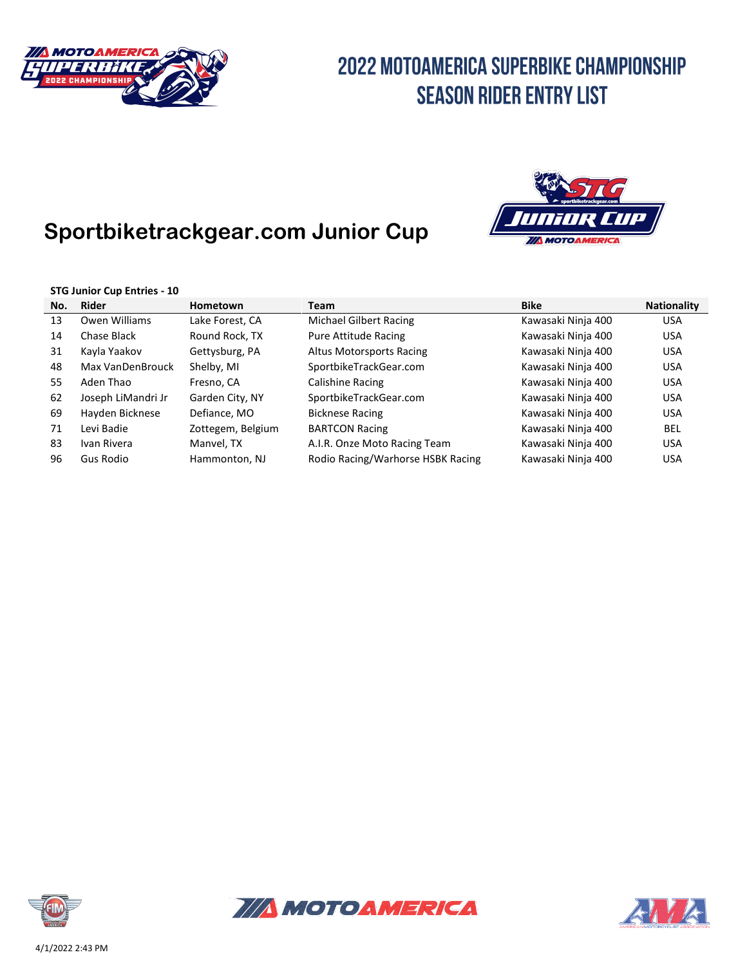

#### **Sportbiketrackgear.com Junior Cup**



#### **STG Junior Cup Entries - 10**

| No. | Rider              | Hometown          | <b>Team</b>                       | <b>Bike</b>        | <b>Nationality</b> |  |
|-----|--------------------|-------------------|-----------------------------------|--------------------|--------------------|--|
| 13  | Owen Williams      | Lake Forest, CA   | Michael Gilbert Racing            | Kawasaki Ninja 400 | <b>USA</b>         |  |
| 14  | Chase Black        | Round Rock, TX    | Pure Attitude Racing              | Kawasaki Ninja 400 | <b>USA</b>         |  |
| 31  | Kayla Yaakov       | Gettysburg, PA    | Altus Motorsports Racing          | Kawasaki Ninja 400 | <b>USA</b>         |  |
| 48  | Max VanDenBrouck   | Shelby, MI        | SportbikeTrackGear.com            | Kawasaki Ninja 400 | <b>USA</b>         |  |
| 55  | Aden Thao          | Fresno, CA        | Calishine Racing                  | Kawasaki Ninja 400 | <b>USA</b>         |  |
| 62  | Joseph LiMandri Jr | Garden City, NY   | SportbikeTrackGear.com            | Kawasaki Ninja 400 | <b>USA</b>         |  |
| 69  | Hayden Bicknese    | Defiance, MO      | <b>Bicknese Racing</b>            | Kawasaki Ninja 400 | <b>USA</b>         |  |
| 71  | Levi Badie         | Zottegem, Belgium | <b>BARTCON Racing</b>             | Kawasaki Ninja 400 | BEL                |  |
| 83  | Ivan Rivera        | Manvel, TX        | A.I.R. Onze Moto Racing Team      | Kawasaki Ninja 400 | <b>USA</b>         |  |
| 96  | Gus Rodio          | Hammonton, NJ     | Rodio Racing/Warhorse HSBK Racing | Kawasaki Ninja 400 | <b>USA</b>         |  |





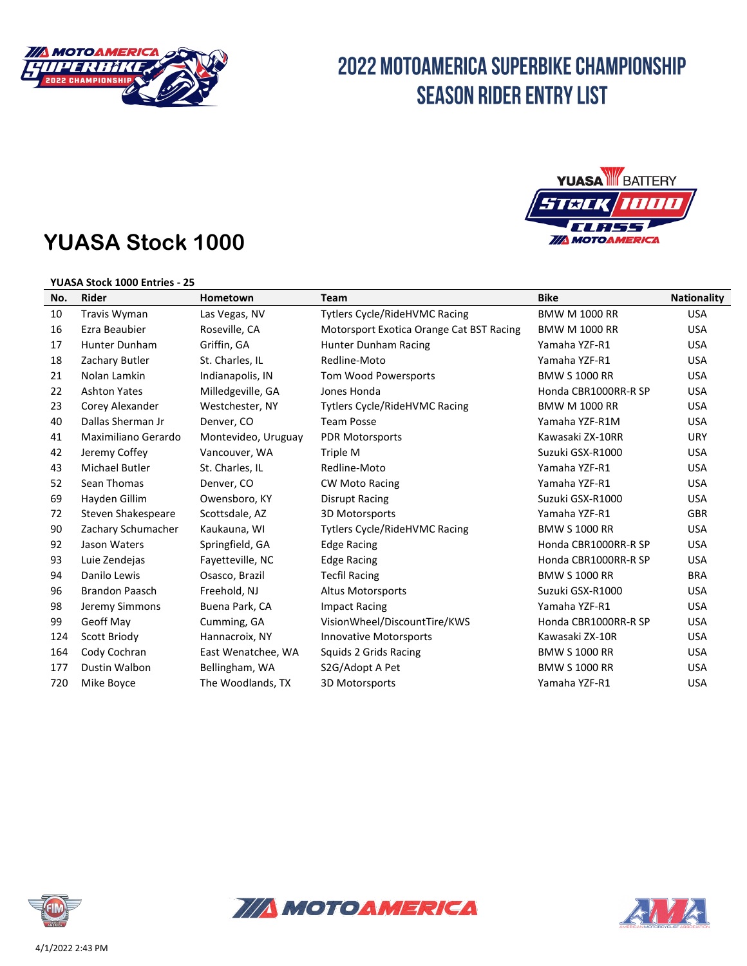

#### **YUASA Stock 1000**



#### **YUASA Stock 1000 Entries - 25**

| No. | <b>Rider</b>          | Hometown            | <b>Team</b>                              | <b>Bike</b>          | <b>Nationality</b> |
|-----|-----------------------|---------------------|------------------------------------------|----------------------|--------------------|
| 10  | <b>Travis Wyman</b>   | Las Vegas, NV       | <b>Tytlers Cycle/RideHVMC Racing</b>     | <b>BMW M 1000 RR</b> | <b>USA</b>         |
| 16  | Ezra Beaubier         | Roseville, CA       | Motorsport Exotica Orange Cat BST Racing | <b>BMW M 1000 RR</b> | <b>USA</b>         |
| 17  | <b>Hunter Dunham</b>  | Griffin, GA         | Hunter Dunham Racing                     | Yamaha YZF-R1        | <b>USA</b>         |
| 18  | Zachary Butler        | St. Charles, IL     | Redline-Moto                             | Yamaha YZF-R1        | <b>USA</b>         |
| 21  | Nolan Lamkin          | Indianapolis, IN    | Tom Wood Powersports                     | <b>BMW S 1000 RR</b> | <b>USA</b>         |
| 22  | <b>Ashton Yates</b>   | Milledgeville, GA   | Jones Honda                              | Honda CBR1000RR-R SP | <b>USA</b>         |
| 23  | Corey Alexander       | Westchester, NY     | <b>Tytlers Cycle/RideHVMC Racing</b>     | <b>BMW M 1000 RR</b> | <b>USA</b>         |
| 40  | Dallas Sherman Jr     | Denver, CO          | <b>Team Posse</b>                        | Yamaha YZF-R1M       | <b>USA</b>         |
| 41  | Maximiliano Gerardo   | Montevideo, Uruguay | <b>PDR Motorsports</b>                   | Kawasaki ZX-10RR     | <b>URY</b>         |
| 42  | Jeremy Coffey         | Vancouver, WA       | Triple M                                 | Suzuki GSX-R1000     | <b>USA</b>         |
| 43  | <b>Michael Butler</b> | St. Charles, IL     | Redline-Moto                             | Yamaha YZF-R1        | <b>USA</b>         |
| 52  | Sean Thomas           | Denver, CO          | <b>CW Moto Racing</b>                    | Yamaha YZF-R1        | <b>USA</b>         |
| 69  | Hayden Gillim         | Owensboro, KY       | Disrupt Racing                           | Suzuki GSX-R1000     | <b>USA</b>         |
| 72  | Steven Shakespeare    | Scottsdale, AZ      | 3D Motorsports                           | Yamaha YZF-R1        | <b>GBR</b>         |
| 90  | Zachary Schumacher    | Kaukauna, WI        | <b>Tytlers Cycle/RideHVMC Racing</b>     | <b>BMW S 1000 RR</b> | <b>USA</b>         |
| 92  | Jason Waters          | Springfield, GA     | <b>Edge Racing</b>                       | Honda CBR1000RR-R SP | <b>USA</b>         |
| 93  | Luie Zendejas         | Fayetteville, NC    | <b>Edge Racing</b>                       | Honda CBR1000RR-R SP | <b>USA</b>         |
| 94  | Danilo Lewis          | Osasco, Brazil      | <b>Tecfil Racing</b>                     | <b>BMW S 1000 RR</b> | <b>BRA</b>         |
| 96  | <b>Brandon Paasch</b> | Freehold, NJ        | <b>Altus Motorsports</b>                 | Suzuki GSX-R1000     | <b>USA</b>         |
| 98  | Jeremy Simmons        | Buena Park, CA      | <b>Impact Racing</b>                     | Yamaha YZF-R1        | <b>USA</b>         |
| 99  | Geoff May             | Cumming, GA         | VisionWheel/DiscountTire/KWS             | Honda CBR1000RR-R SP | <b>USA</b>         |
| 124 | Scott Briody          | Hannacroix, NY      | <b>Innovative Motorsports</b>            | Kawasaki ZX-10R      | <b>USA</b>         |
| 164 | Cody Cochran          | East Wenatchee, WA  | Squids 2 Grids Racing                    | <b>BMW S 1000 RR</b> | <b>USA</b>         |
| 177 | Dustin Walbon         | Bellingham, WA      | S2G/Adopt A Pet                          | <b>BMW S 1000 RR</b> | <b>USA</b>         |
| 720 | Mike Boyce            | The Woodlands, TX   | 3D Motorsports                           | Yamaha YZF-R1        | <b>USA</b>         |





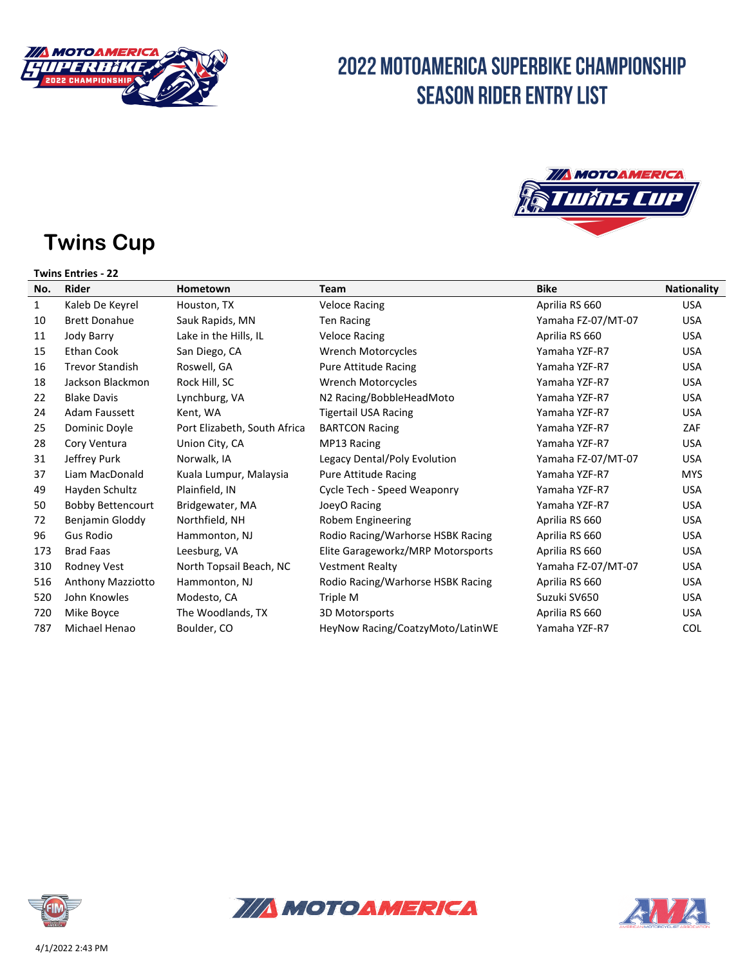



# **Twins Cup**

| <b>Twins Entries - 22</b> |                          |                              |                                   |                    |                    |  |
|---------------------------|--------------------------|------------------------------|-----------------------------------|--------------------|--------------------|--|
| No.                       | <b>Rider</b>             | Hometown                     | <b>Team</b>                       | <b>Bike</b>        | <b>Nationality</b> |  |
| 1                         | Kaleb De Keyrel          | Houston, TX                  | <b>Veloce Racing</b>              | Aprilia RS 660     | <b>USA</b>         |  |
| 10                        | <b>Brett Donahue</b>     | Sauk Rapids, MN              | <b>Ten Racing</b>                 | Yamaha FZ-07/MT-07 | <b>USA</b>         |  |
| 11                        | Jody Barry               | Lake in the Hills, IL        | <b>Veloce Racing</b>              | Aprilia RS 660     | <b>USA</b>         |  |
| 15                        | <b>Ethan Cook</b>        | San Diego, CA                | <b>Wrench Motorcycles</b>         | Yamaha YZF-R7      | <b>USA</b>         |  |
| 16                        | <b>Trevor Standish</b>   | Roswell, GA                  | Pure Attitude Racing              | Yamaha YZF-R7      | <b>USA</b>         |  |
| 18                        | Jackson Blackmon         | Rock Hill, SC                | <b>Wrench Motorcycles</b>         | Yamaha YZF-R7      | <b>USA</b>         |  |
| 22                        | <b>Blake Davis</b>       | Lynchburg, VA                | N2 Racing/BobbleHeadMoto          | Yamaha YZF-R7      | <b>USA</b>         |  |
| 24                        | <b>Adam Faussett</b>     | Kent, WA                     | <b>Tigertail USA Racing</b>       | Yamaha YZF-R7      | <b>USA</b>         |  |
| 25                        | Dominic Doyle            | Port Elizabeth, South Africa | <b>BARTCON Racing</b>             | Yamaha YZF-R7      | ZAF                |  |
| 28                        | Cory Ventura             | Union City, CA               | MP13 Racing                       | Yamaha YZF-R7      | <b>USA</b>         |  |
| 31                        | Jeffrey Purk             | Norwalk, IA                  | Legacy Dental/Poly Evolution      | Yamaha FZ-07/MT-07 | <b>USA</b>         |  |
| 37                        | Liam MacDonald           | Kuala Lumpur, Malaysia       | <b>Pure Attitude Racing</b>       | Yamaha YZF-R7      | <b>MYS</b>         |  |
| 49                        | Hayden Schultz           | Plainfield, IN               | Cycle Tech - Speed Weaponry       | Yamaha YZF-R7      | <b>USA</b>         |  |
| 50                        | <b>Bobby Bettencourt</b> | Bridgewater, MA              | JoeyO Racing                      | Yamaha YZF-R7      | <b>USA</b>         |  |
| 72                        | Benjamin Gloddy          | Northfield, NH               | Robem Engineering                 | Aprilia RS 660     | <b>USA</b>         |  |
| 96                        | <b>Gus Rodio</b>         | Hammonton, NJ                | Rodio Racing/Warhorse HSBK Racing | Aprilia RS 660     | <b>USA</b>         |  |
| 173                       | <b>Brad Faas</b>         | Leesburg, VA                 | Elite Garageworkz/MRP Motorsports | Aprilia RS 660     | <b>USA</b>         |  |
| 310                       | Rodney Vest              | North Topsail Beach, NC      | <b>Vestment Realty</b>            | Yamaha FZ-07/MT-07 | <b>USA</b>         |  |
| 516                       | Anthony Mazziotto        | Hammonton, NJ                | Rodio Racing/Warhorse HSBK Racing | Aprilia RS 660     | <b>USA</b>         |  |
| 520                       | John Knowles             | Modesto, CA                  | Triple M                          | Suzuki SV650       | <b>USA</b>         |  |
| 720                       | Mike Boyce               | The Woodlands, TX            | 3D Motorsports                    | Aprilia RS 660     | <b>USA</b>         |  |
| 787                       | Michael Henao            | Boulder, CO                  | HeyNow Racing/CoatzyMoto/LatinWE  | Yamaha YZF-R7      | <b>COL</b>         |  |





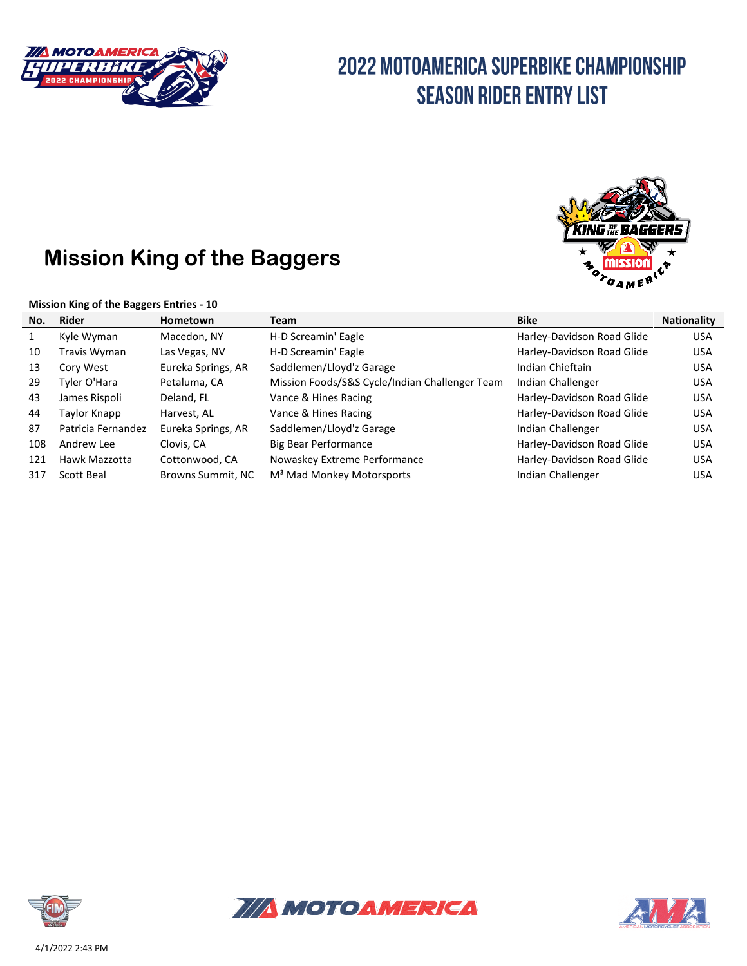

#### **Mission King of the Baggers**

#### **Mission King of the Baggers Entries - 10**



| No.          | Rider              | <b>Hometown</b>    | Team                                           | <b>Bike</b>                | <b>Nationality</b> |
|--------------|--------------------|--------------------|------------------------------------------------|----------------------------|--------------------|
| $\mathbf{1}$ | Kyle Wyman         | Macedon, NY        | H-D Screamin' Eagle                            | Harley-Davidson Road Glide | <b>USA</b>         |
| 10           | Travis Wyman       | Las Vegas, NV      | H-D Screamin' Eagle                            | Harley-Davidson Road Glide | <b>USA</b>         |
| 13           | Cory West          | Eureka Springs, AR | Saddlemen/Lloyd'z Garage                       | Indian Chieftain           | <b>USA</b>         |
| 29           | Tyler O'Hara       | Petaluma, CA       | Mission Foods/S&S Cycle/Indian Challenger Team | Indian Challenger          | <b>USA</b>         |
| 43           | James Rispoli      | Deland, FL         | Vance & Hines Racing                           | Harley-Davidson Road Glide | <b>USA</b>         |
| 44           | Taylor Knapp       | Harvest, AL        | Vance & Hines Racing                           | Harley-Davidson Road Glide | <b>USA</b>         |
| 87           | Patricia Fernandez | Eureka Springs, AR | Saddlemen/Lloyd'z Garage                       | Indian Challenger          | <b>USA</b>         |
| 108          | Andrew Lee         | Clovis. CA         | <b>Big Bear Performance</b>                    | Harley-Davidson Road Glide | <b>USA</b>         |
| 121          | Hawk Mazzotta      | Cottonwood, CA     | Nowaskey Extreme Performance                   | Harley-Davidson Road Glide | <b>USA</b>         |
| 317          | Scott Beal         | Browns Summit, NC  | M <sup>3</sup> Mad Monkey Motorsports          | Indian Challenger          | <b>USA</b>         |